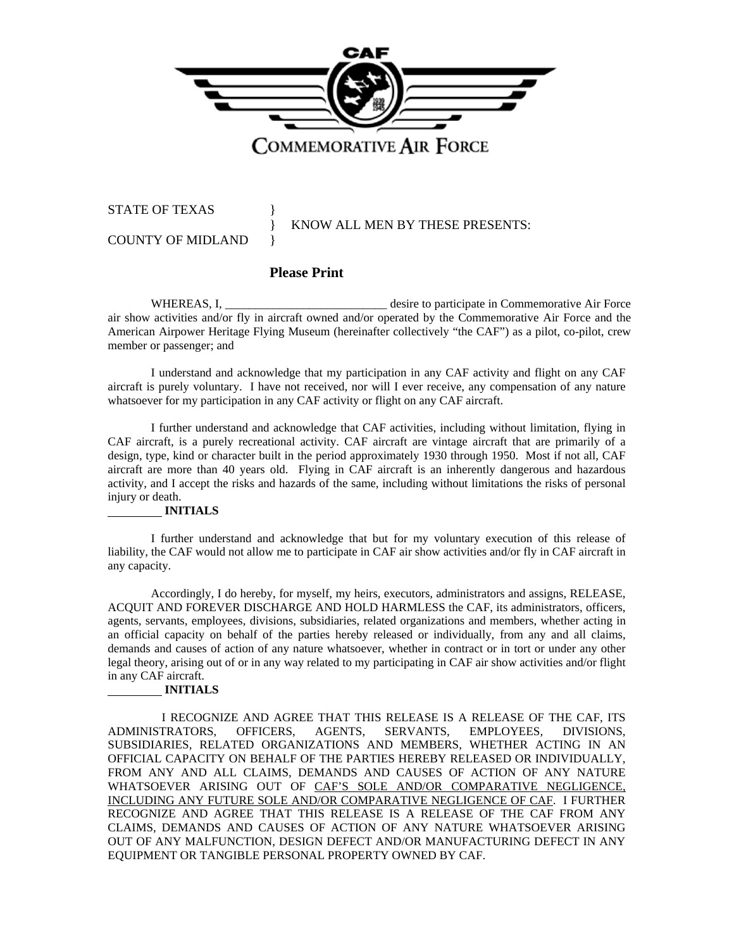

STATE OF TEXAS }

COUNTY OF MIDLAND }

KNOW ALL MEN BY THESE PRESENTS:

## **Please Print**

WHEREAS, I, The same of the desire to participate in Commemorative Air Force air show activities and/or fly in aircraft owned and/or operated by the Commemorative Air Force and the American Airpower Heritage Flying Museum (hereinafter collectively "the CAF") as a pilot, co-pilot, crew member or passenger; and

I understand and acknowledge that my participation in any CAF activity and flight on any CAF aircraft is purely voluntary. I have not received, nor will I ever receive, any compensation of any nature whatsoever for my participation in any CAF activity or flight on any CAF aircraft.

I further understand and acknowledge that CAF activities, including without limitation, flying in CAF aircraft, is a purely recreational activity. CAF aircraft are vintage aircraft that are primarily of a design, type, kind or character built in the period approximately 1930 through 1950. Most if not all, CAF aircraft are more than 40 years old. Flying in CAF aircraft is an inherently dangerous and hazardous activity, and I accept the risks and hazards of the same, including without limitations the risks of personal injury or death.

## **INITIALS**

I further understand and acknowledge that but for my voluntary execution of this release of liability, the CAF would not allow me to participate in CAF air show activities and/or fly in CAF aircraft in any capacity.

Accordingly, I do hereby, for myself, my heirs, executors, administrators and assigns, RELEASE, ACQUIT AND FOREVER DISCHARGE AND HOLD HARMLESS the CAF, its administrators, officers, agents, servants, employees, divisions, subsidiaries, related organizations and members, whether acting in an official capacity on behalf of the parties hereby released or individually, from any and all claims, demands and causes of action of any nature whatsoever, whether in contract or in tort or under any other legal theory, arising out of or in any way related to my participating in CAF air show activities and/or flight in any CAF aircraft.

## **INITIALS**

I RECOGNIZE AND AGREE THAT THIS RELEASE IS A RELEASE OF THE CAF, ITS ADMINISTRATORS, OFFICERS, AGENTS, SERVANTS, EMPLOYEES, DIVISIONS, SUBSIDIARIES, RELATED ORGANIZATIONS AND MEMBERS, WHETHER ACTING IN AN OFFICIAL CAPACITY ON BEHALF OF THE PARTIES HEREBY RELEASED OR INDIVIDUALLY, FROM ANY AND ALL CLAIMS, DEMANDS AND CAUSES OF ACTION OF ANY NATURE WHATSOEVER ARISING OUT OF CAF'S SOLE AND/OR COMPARATIVE NEGLIGENCE, INCLUDING ANY FUTURE SOLE AND/OR COMPARATIVE NEGLIGENCE OF CAF. I FURTHER RECOGNIZE AND AGREE THAT THIS RELEASE IS A RELEASE OF THE CAF FROM ANY CLAIMS, DEMANDS AND CAUSES OF ACTION OF ANY NATURE WHATSOEVER ARISING OUT OF ANY MALFUNCTION, DESIGN DEFECT AND/OR MANUFACTURING DEFECT IN ANY EQUIPMENT OR TANGIBLE PERSONAL PROPERTY OWNED BY CAF.